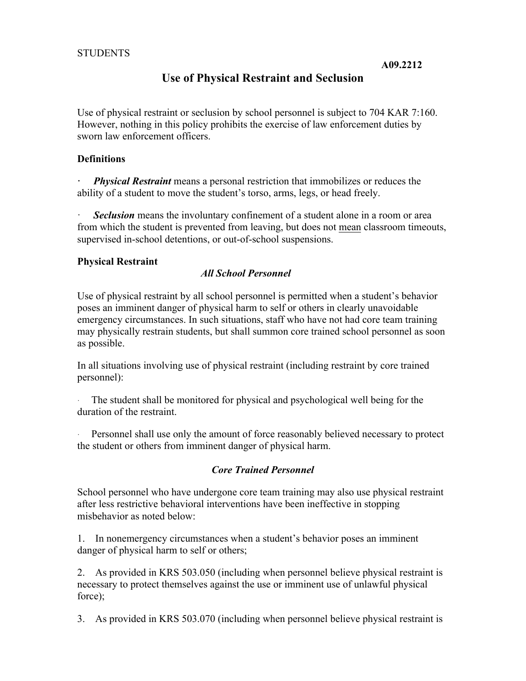# **Use of Physical Restraint and Seclusion**

Use of physical restraint or seclusion by school personnel is subject to 704 KAR 7:160. However, nothing in this policy prohibits the exercise of law enforcement duties by sworn law enforcement officers.

### **Definitions**

*Physical Restraint* means a personal restriction that immobilizes or reduces the ability of a student to move the student's torso, arms, legs, or head freely.

**Seclusion** means the involuntary confinement of a student alone in a room or area from which the student is prevented from leaving, but does not mean classroom timeouts, supervised in-school detentions, or out-of-school suspensions.

#### **Physical Restraint**

#### *All School Personnel*

Use of physical restraint by all school personnel is permitted when a student's behavior poses an imminent danger of physical harm to self or others in clearly unavoidable emergency circumstances. In such situations, staff who have not had core team training may physically restrain students, but shall summon core trained school personnel as soon as possible.

In all situations involving use of physical restraint (including restraint by core trained personnel):

The student shall be monitored for physical and psychological well being for the duration of the restraint.

Personnel shall use only the amount of force reasonably believed necessary to protect the student or others from imminent danger of physical harm.

## *Core Trained Personnel*

School personnel who have undergone core team training may also use physical restraint after less restrictive behavioral interventions have been ineffective in stopping misbehavior as noted below:

1. In nonemergency circumstances when a student's behavior poses an imminent danger of physical harm to self or others;

2. As provided in KRS 503.050 (including when personnel believe physical restraint is necessary to protect themselves against the use or imminent use of unlawful physical force);

3. As provided in KRS 503.070 (including when personnel believe physical restraint is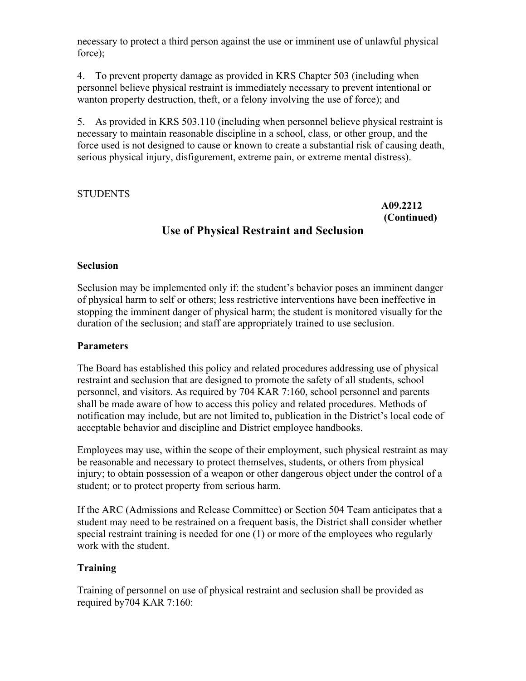necessary to protect a third person against the use or imminent use of unlawful physical force);

4. To prevent property damage as provided in KRS Chapter 503 (including when personnel believe physical restraint is immediately necessary to prevent intentional or wanton property destruction, theft, or a felony involving the use of force); and

5. As provided in KRS 503.110 (including when personnel believe physical restraint is necessary to maintain reasonable discipline in a school, class, or other group, and the force used is not designed to cause or known to create a substantial risk of causing death, serious physical injury, disfigurement, extreme pain, or extreme mental distress).

## STUDENTS

### **A09.2212 (Continued)**

# **Use of Physical Restraint and Seclusion**

#### **Seclusion**

Seclusion may be implemented only if: the student's behavior poses an imminent danger of physical harm to self or others; less restrictive interventions have been ineffective in stopping the imminent danger of physical harm; the student is monitored visually for the duration of the seclusion; and staff are appropriately trained to use seclusion.

#### **Parameters**

The Board has established this policy and related procedures addressing use of physical restraint and seclusion that are designed to promote the safety of all students, school personnel, and visitors. As required by 704 KAR 7:160, school personnel and parents shall be made aware of how to access this policy and related procedures. Methods of notification may include, but are not limited to, publication in the District's local code of acceptable behavior and discipline and District employee handbooks.

Employees may use, within the scope of their employment, such physical restraint as may be reasonable and necessary to protect themselves, students, or others from physical injury; to obtain possession of a weapon or other dangerous object under the control of a student; or to protect property from serious harm.

If the ARC (Admissions and Release Committee) or Section 504 Team anticipates that a student may need to be restrained on a frequent basis, the District shall consider whether special restraint training is needed for one (1) or more of the employees who regularly work with the student.

## **Training**

Training of personnel on use of physical restraint and seclusion shall be provided as required by704 KAR 7:160: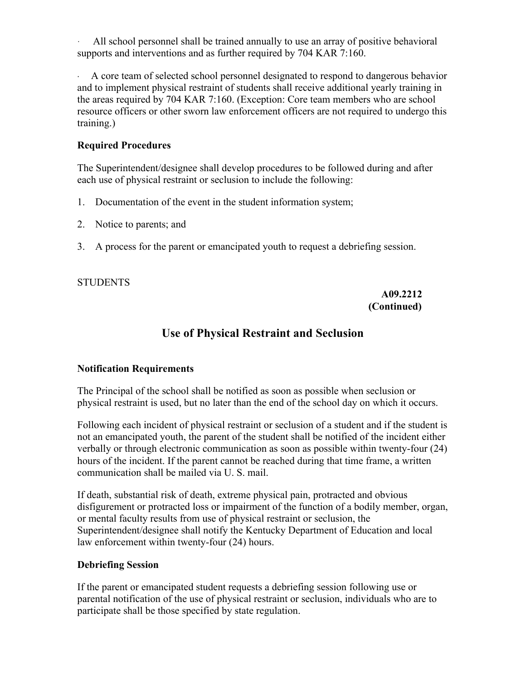All school personnel shall be trained annually to use an array of positive behavioral supports and interventions and as further required by 704 KAR 7:160.

A core team of selected school personnel designated to respond to dangerous behavior and to implement physical restraint of students shall receive additional yearly training in the areas required by 704 KAR 7:160. (Exception: Core team members who are school resource officers or other sworn law enforcement officers are not required to undergo this training.)

### **Required Procedures**

The Superintendent/designee shall develop procedures to be followed during and after each use of physical restraint or seclusion to include the following:

- 1. Documentation of the event in the student information system;
- 2. Notice to parents; and
- 3. A process for the parent or emancipated youth to request a debriefing session.

#### STUDENTS

#### **A09.2212 (Continued)**

# **Use of Physical Restraint and Seclusion**

## **Notification Requirements**

The Principal of the school shall be notified as soon as possible when seclusion or physical restraint is used, but no later than the end of the school day on which it occurs.

Following each incident of physical restraint or seclusion of a student and if the student is not an emancipated youth, the parent of the student shall be notified of the incident either verbally or through electronic communication as soon as possible within twenty-four (24) hours of the incident. If the parent cannot be reached during that time frame, a written communication shall be mailed via U. S. mail.

If death, substantial risk of death, extreme physical pain, protracted and obvious disfigurement or protracted loss or impairment of the function of a bodily member, organ, or mental faculty results from use of physical restraint or seclusion, the Superintendent/designee shall notify the Kentucky Department of Education and local law enforcement within twenty-four (24) hours.

#### **Debriefing Session**

If the parent or emancipated student requests a debriefing session following use or parental notification of the use of physical restraint or seclusion, individuals who are to participate shall be those specified by state regulation.